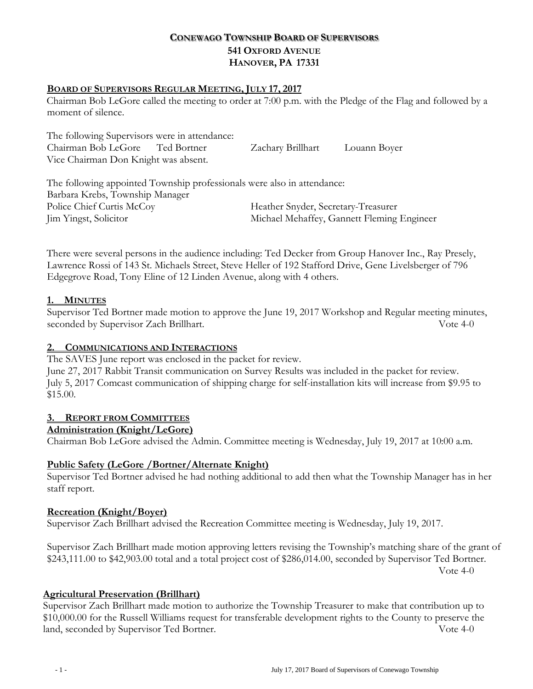# **CONEWAGO TOWNSHIP BOARD OF SUPERVISORS 541 OXFORD AVENUE HANOVER, PA 17331**

### **BOARD OF SUPERVISORS REGULAR MEETING, JULY 17, 2017**

Chairman Bob LeGore called the meeting to order at 7:00 p.m. with the Pledge of the Flag and followed by a moment of silence.

| The following Supervisors were in attendance: |  |                   |              |
|-----------------------------------------------|--|-------------------|--------------|
| Chairman Bob LeGore Ted Bortner               |  | Zachary Brillhart | Louann Boyer |
| Vice Chairman Don Knight was absent.          |  |                   |              |

The following appointed Township professionals were also in attendance: Barbara Krebs, Township Manager Police Chief Curtis McCoy Theather Snyder, Secretary-Treasurer Jim Yingst, Solicitor Michael Mehaffey, Gannett Fleming Engineer

There were several persons in the audience including: Ted Decker from Group Hanover Inc., Ray Presely, Lawrence Rossi of 143 St. Michaels Street, Steve Heller of 192 Stafford Drive, Gene Livelsberger of 796 Edgegrove Road, Tony Eline of 12 Linden Avenue, along with 4 others.

## **1. MINUTES**

Supervisor Ted Bortner made motion to approve the June 19, 2017 Workshop and Regular meeting minutes, seconded by Supervisor Zach Brillhart. Vote 4-0

### **2. COMMUNICATIONS AND INTERACTIONS**

The SAVES June report was enclosed in the packet for review.

June 27, 2017 Rabbit Transit communication on Survey Results was included in the packet for review. July 5, 2017 Comcast communication of shipping charge for self-installation kits will increase from \$9.95 to \$15.00.

# **3. REPORT FROM COMMITTEES**

### **Administration (Knight/LeGore)**

Chairman Bob LeGore advised the Admin. Committee meeting is Wednesday, July 19, 2017 at 10:00 a.m.

# **Public Safety (LeGore /Bortner/Alternate Knight)**

Supervisor Ted Bortner advised he had nothing additional to add then what the Township Manager has in her staff report.

### **Recreation (Knight/Boyer)**

Supervisor Zach Brillhart advised the Recreation Committee meeting is Wednesday, July 19, 2017.

Supervisor Zach Brillhart made motion approving letters revising the Township's matching share of the grant of \$243,111.00 to \$42,903.00 total and a total project cost of \$286,014.00, seconded by Supervisor Ted Bortner. Vote 4-0

### **Agricultural Preservation (Brillhart)**

Supervisor Zach Brillhart made motion to authorize the Township Treasurer to make that contribution up to \$10,000.00 for the Russell Williams request for transferable development rights to the County to preserve the land, seconded by Supervisor Ted Bortner. Vote 4-0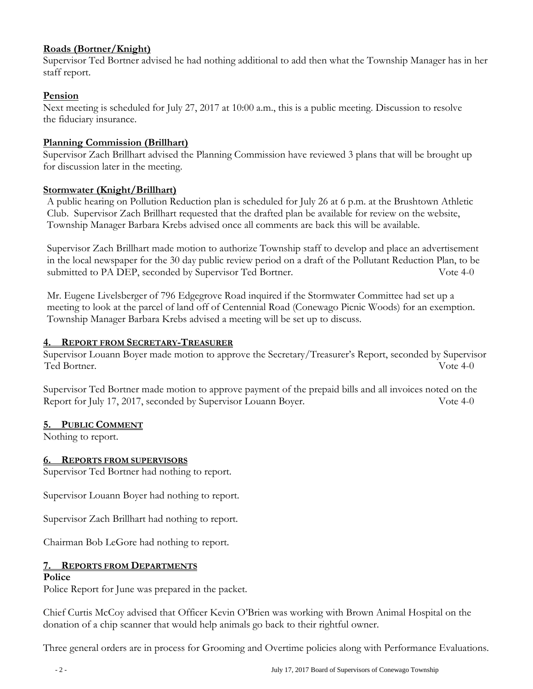# **Roads (Bortner/Knight)**

Supervisor Ted Bortner advised he had nothing additional to add then what the Township Manager has in her staff report.

# **Pension**

Next meeting is scheduled for July 27, 2017 at 10:00 a.m., this is a public meeting. Discussion to resolve the fiduciary insurance.

## **Planning Commission (Brillhart)**

Supervisor Zach Brillhart advised the Planning Commission have reviewed 3 plans that will be brought up for discussion later in the meeting.

## **Stormwater (Knight/Brillhart)**

A public hearing on Pollution Reduction plan is scheduled for July 26 at 6 p.m. at the Brushtown Athletic Club. Supervisor Zach Brillhart requested that the drafted plan be available for review on the website, Township Manager Barbara Krebs advised once all comments are back this will be available.

Supervisor Zach Brillhart made motion to authorize Township staff to develop and place an advertisement in the local newspaper for the 30 day public review period on a draft of the Pollutant Reduction Plan, to be submitted to PA DEP, seconded by Supervisor Ted Bortner. Vote 4-0

Mr. Eugene Livelsberger of 796 Edgegrove Road inquired if the Stormwater Committee had set up a meeting to look at the parcel of land off of Centennial Road (Conewago Picnic Woods) for an exemption. Township Manager Barbara Krebs advised a meeting will be set up to discuss.

## **4. REPORT FROM SECRETARY-TREASURER**

Supervisor Louann Boyer made motion to approve the Secretary/Treasurer's Report, seconded by Supervisor Ted Bortner. Vote 4-0

Supervisor Ted Bortner made motion to approve payment of the prepaid bills and all invoices noted on the Report for July 17, 2017, seconded by Supervisor Louann Boyer. Vote 4-0

### **5. PUBLIC COMMENT**

Nothing to report.

# **6. REPORTS FROM SUPERVISORS**

Supervisor Ted Bortner had nothing to report.

Supervisor Louann Boyer had nothing to report.

Supervisor Zach Brillhart had nothing to report.

Chairman Bob LeGore had nothing to report.

# **7. REPORTS FROM DEPARTMENTS**

### **Police**

Police Report for June was prepared in the packet.

Chief Curtis McCoy advised that Officer Kevin O'Brien was working with Brown Animal Hospital on the donation of a chip scanner that would help animals go back to their rightful owner.

Three general orders are in process for Grooming and Overtime policies along with Performance Evaluations.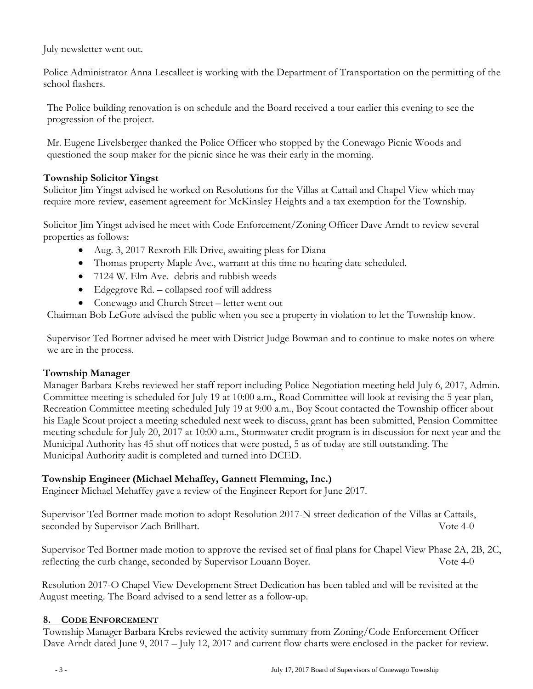July newsletter went out.

Police Administrator Anna Lescalleet is working with the Department of Transportation on the permitting of the school flashers.

The Police building renovation is on schedule and the Board received a tour earlier this evening to see the progression of the project.

Mr. Eugene Livelsberger thanked the Police Officer who stopped by the Conewago Picnic Woods and questioned the soup maker for the picnic since he was their early in the morning.

# **Township Solicitor Yingst**

Solicitor Jim Yingst advised he worked on Resolutions for the Villas at Cattail and Chapel View which may require more review, easement agreement for McKinsley Heights and a tax exemption for the Township.

Solicitor Jim Yingst advised he meet with Code Enforcement/Zoning Officer Dave Arndt to review several properties as follows:

- Aug. 3, 2017 Rexroth Elk Drive, awaiting pleas for Diana
- Thomas property Maple Ave., warrant at this time no hearing date scheduled.
- 7124 W. Elm Ave. debris and rubbish weeds
- Edgegrove Rd. collapsed roof will address
- Conewago and Church Street letter went out

Chairman Bob LeGore advised the public when you see a property in violation to let the Township know.

Supervisor Ted Bortner advised he meet with District Judge Bowman and to continue to make notes on where we are in the process.

### **Township Manager**

Manager Barbara Krebs reviewed her staff report including Police Negotiation meeting held July 6, 2017, Admin. Committee meeting is scheduled for July 19 at 10:00 a.m., Road Committee will look at revising the 5 year plan, Recreation Committee meeting scheduled July 19 at 9:00 a.m., Boy Scout contacted the Township officer about his Eagle Scout project a meeting scheduled next week to discuss, grant has been submitted, Pension Committee meeting schedule for July 20, 2017 at 10:00 a.m., Stormwater credit program is in discussion for next year and the Municipal Authority has 45 shut off notices that were posted, 5 as of today are still outstanding. The Municipal Authority audit is completed and turned into DCED.

# **Township Engineer (Michael Mehaffey, Gannett Flemming, Inc.)**

Engineer Michael Mehaffey gave a review of the Engineer Report for June 2017.

 Supervisor Ted Bortner made motion to adopt Resolution 2017-N street dedication of the Villas at Cattails, seconded by Supervisor Zach Brillhart. Vote 4-0

 Supervisor Ted Bortner made motion to approve the revised set of final plans for Chapel View Phase 2A, 2B, 2C, reflecting the curb change, seconded by Supervisor Louann Boyer. Vote 4-0

 Resolution 2017-O Chapel View Development Street Dedication has been tabled and will be revisited at the August meeting. The Board advised to a send letter as a follow-up.

### **8. CODE ENFORCEMENT**

Township Manager Barbara Krebs reviewed the activity summary from Zoning/Code Enforcement Officer Dave Arndt dated June 9, 2017 – July 12, 2017 and current flow charts were enclosed in the packet for review.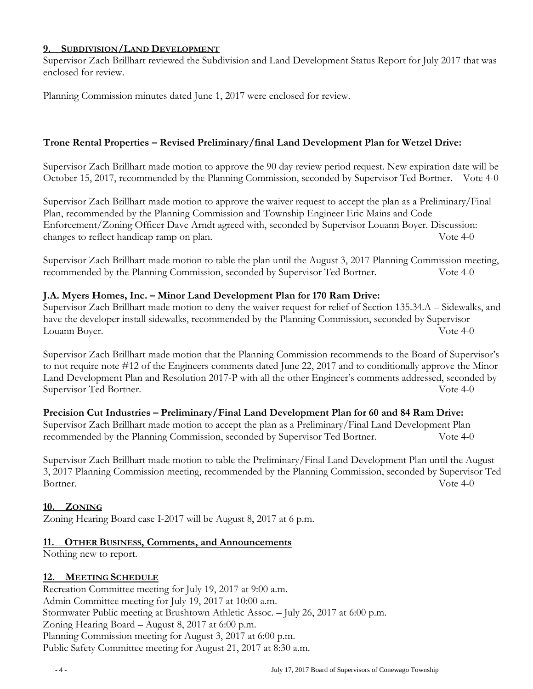#### **9. SUBDIVISION/LAND DEVELOPMENT**

Supervisor Zach Brillhart reviewed the Subdivision and Land Development Status Report for July 2017 that was enclosed for review.

Planning Commission minutes dated June 1, 2017 were enclosed for review.

### **Trone Rental Properties – Revised Preliminary/final Land Development Plan for Wetzel Drive:**

Supervisor Zach Brillhart made motion to approve the 90 day review period request. New expiration date will be October 15, 2017, recommended by the Planning Commission, seconded by Supervisor Ted Bortner. Vote 4-0

Supervisor Zach Brillhart made motion to approve the waiver request to accept the plan as a Preliminary/Final Plan, recommended by the Planning Commission and Township Engineer Eric Mains and Code Enforcement/Zoning Officer Dave Arndt agreed with, seconded by Supervisor Louann Boyer. Discussion: changes to reflect handicap ramp on plan. Vote 4-0

Supervisor Zach Brillhart made motion to table the plan until the August 3, 2017 Planning Commission meeting, recommended by the Planning Commission, seconded by Supervisor Ted Bortner. Vote 4-0

## **J.A. Myers Homes, Inc. – Minor Land Development Plan for 170 Ram Drive:**

Supervisor Zach Brillhart made motion to deny the waiver request for relief of Section 135.34.A – Sidewalks, and have the developer install sidewalks, recommended by the Planning Commission, seconded by Supervisor Louann Boyer. Vote 4-0

Supervisor Zach Brillhart made motion that the Planning Commission recommends to the Board of Supervisor's to not require note #12 of the Engineers comments dated June 22, 2017 and to conditionally approve the Minor Land Development Plan and Resolution 2017-P with all the other Engineer's comments addressed, seconded by Supervisor Ted Bortner. The Supervisor Ted Bortner.

# **Precision Cut Industries – Preliminary/Final Land Development Plan for 60 and 84 Ram Drive:**

Supervisor Zach Brillhart made motion to accept the plan as a Preliminary/Final Land Development Plan recommended by the Planning Commission, seconded by Supervisor Ted Bortner. Vote 4-0

Supervisor Zach Brillhart made motion to table the Preliminary/Final Land Development Plan until the August 3, 2017 Planning Commission meeting, recommended by the Planning Commission, seconded by Supervisor Ted Bortner. Vote 4-0

### **10. ZONING**

Zoning Hearing Board case I-2017 will be August 8, 2017 at 6 p.m.

### **11. OTHER BUSINESS, Comments, and Announcements**

Nothing new to report.

### **12. MEETING SCHEDULE**

Recreation Committee meeting for July 19, 2017 at 9:00 a.m. Admin Committee meeting for July 19, 2017 at 10:00 a.m. Stormwater Public meeting at Brushtown Athletic Assoc. – July 26, 2017 at 6:00 p.m. Zoning Hearing Board – August 8, 2017 at 6:00 p.m. Planning Commission meeting for August 3, 2017 at 6:00 p.m. Public Safety Committee meeting for August 21, 2017 at 8:30 a.m.